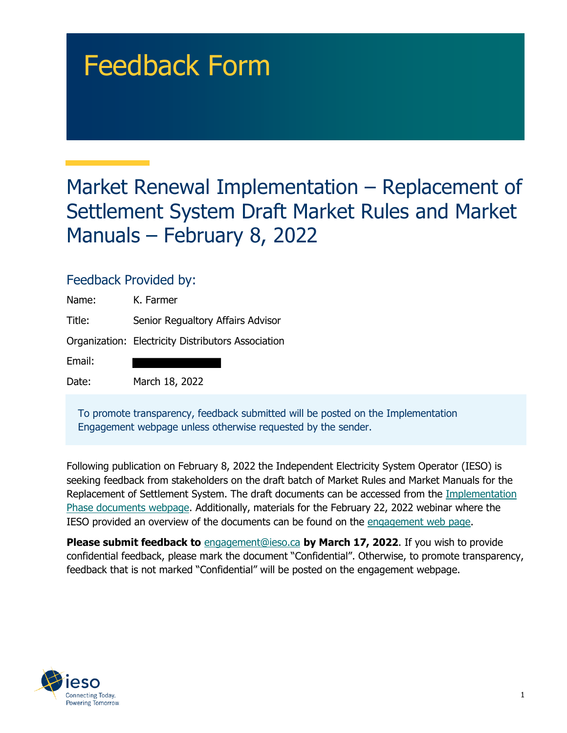# Feedback Form

# Market Renewal Implementation – Replacement of Settlement System Draft Market Rules and Market Manuals – February 8, 2022

## Feedback Provided by:

| Name:  | K. Farmer                                          |
|--------|----------------------------------------------------|
| Title: | Senior Regualtory Affairs Advisor                  |
|        | Organization: Electricity Distributors Association |
| Email: |                                                    |
| Date:  | March 18, 2022                                     |

To promote transparency, feedback submitted will be posted on the Implementation Engagement webpage unless otherwise requested by the sender.

Following publication on February 8, 2022 the Independent Electricity System Operator (IESO) is seeking feedback from stakeholders on the draft batch of Market Rules and Market Manuals for the Replacement of Settlement System. The draft documents can be accessed from the [Implementation](https://www.ieso.ca/en/Market-Renewal/Energy-Stream-Designs/Implementation-phase-documents)  [Phase documents webpage](https://www.ieso.ca/en/Market-Renewal/Energy-Stream-Designs/Implementation-phase-documents). Additionally, materials for the February 22, 2022 webinar where the IESO provided an overview of the documents can be found on the [engagement web page](https://www.ieso.ca/en/Market-Renewal/Stakeholder-Engagements/Implementation-Engagement-Market-Rules-and-Market-Manuals).

 confidential feedback, please mark the document "Confidential". Otherwise, to promote transparency, **Please submit feedback to** [engagement@ieso.ca](mailto:engagement@ieso.ca) **by March 17, 2022**. If you wish to provide feedback that is not marked "Confidential" will be posted on the engagement webpage.

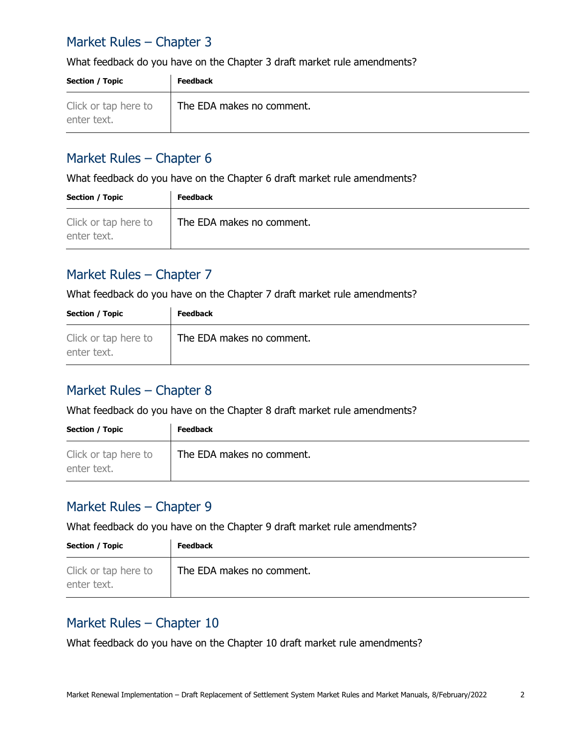# Market Rules – Chapter 3

What feedback do you have on the Chapter 3 draft market rule amendments?

| <b>Section / Topic</b>              | <b>Feedback</b>           |
|-------------------------------------|---------------------------|
| Click or tap here to<br>enter text. | The EDA makes no comment. |

#### Market Rules – Chapter 6

What feedback do you have on the Chapter 6 draft market rule amendments?

| Section / Topic                     | <b>Feedback</b>           |
|-------------------------------------|---------------------------|
| Click or tap here to<br>enter text. | The EDA makes no comment. |

## Market Rules – Chapter 7

What feedback do you have on the Chapter 7 draft market rule amendments?

| <b>Section / Topic</b>              | <b>Feedback</b>           |
|-------------------------------------|---------------------------|
| Click or tap here to<br>enter text. | The EDA makes no comment. |

#### Market Rules – Chapter 8

What feedback do you have on the Chapter 8 draft market rule amendments?

| Section / Topic                     | <b>Feedback</b>           |
|-------------------------------------|---------------------------|
| Click or tap here to<br>enter text. | The EDA makes no comment. |

#### Market Rules – Chapter 9

What feedback do you have on the Chapter 9 draft market rule amendments?

| <b>Section / Topic</b>              | <b>Feedback</b>           |
|-------------------------------------|---------------------------|
| Click or tap here to<br>enter text. | The EDA makes no comment. |

#### Market Rules – Chapter 10

What feedback do you have on the Chapter 10 draft market rule amendments?